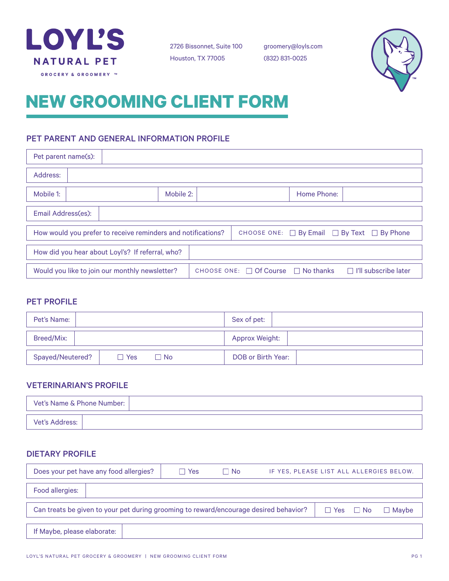

2726 Bissonnet, Suite 100 Houston, TX 77005

groomery@loyls.com (832) 831-0025



# **NEW GROOMING CLIENT FORM**

# PET PARENT AND GENERAL INFORMATION PROFILE

| Pet parent name(s):                                                                             |                                                              |  |                             |             |                                                            |
|-------------------------------------------------------------------------------------------------|--------------------------------------------------------------|--|-----------------------------|-------------|------------------------------------------------------------|
| Address:                                                                                        |                                                              |  |                             |             |                                                            |
| Mobile 1:                                                                                       | Mobile 2:                                                    |  |                             | Home Phone: |                                                            |
| Email Address(es):                                                                              |                                                              |  |                             |             |                                                            |
|                                                                                                 | How would you prefer to receive reminders and notifications? |  |                             |             | CHOOSE ONE: $\Box$ By Email $\Box$ By Text $\Box$ By Phone |
| How did you hear about Loyl's? If referral, who?                                                |                                                              |  |                             |             |                                                            |
| Would you like to join our monthly newsletter?<br>CHOOSE ONE: $\Box$ Of Course $\Box$ No thanks |                                                              |  | $\Box$ I'll subscribe later |             |                                                            |

# PET PROFILE

| Pet's Name:                            | Sex of pet:        |
|----------------------------------------|--------------------|
| Breed/Mix:                             | Approx Weight:     |
| Spayed/Neutered?<br>$\Box$ No<br>∩ Yes | DOB or Birth Year: |

# VETERINARIAN'S PROFILE

| Vet's Name & Phone Number: |  |
|----------------------------|--|
| Vet's Address:             |  |

# DIETARY PROFILE

| Does your pet have any food allergies?                                                                        | Yes<br>$\mathbf{L}$ | $\Box$ No | IF YES, PLEASE LIST ALL ALLERGIES BELOW. |  |         |  |
|---------------------------------------------------------------------------------------------------------------|---------------------|-----------|------------------------------------------|--|---------|--|
| Food allergies:                                                                                               |                     |           |                                          |  |         |  |
| Can treats be given to your pet during grooming to reward/encourage desired behavior?<br>$\Box$ Yes $\Box$ No |                     |           |                                          |  | □ Mavbe |  |
| If Maybe, please elaborate:                                                                                   |                     |           |                                          |  |         |  |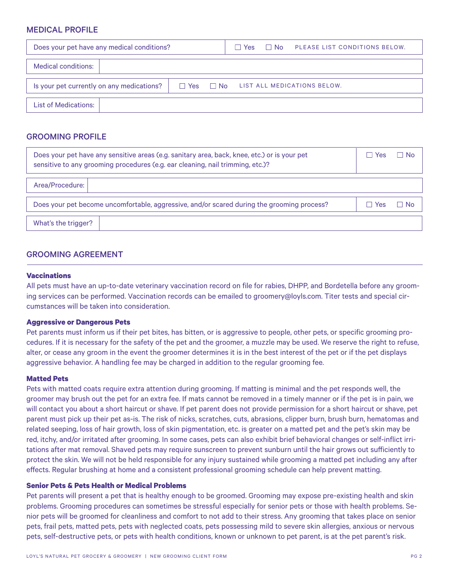# MEDICAL PROFILE

| Does your pet have any medical conditions? | $\Box$ No $\Box$ PLEASE LIST CONDITIONS BELOW.<br>l Yes |  |  |
|--------------------------------------------|---------------------------------------------------------|--|--|
| Medical conditions:                        |                                                         |  |  |
| Is your pet currently on any medications?  | $\Box$ Yes $\Box$ No LIST ALL MEDICATIONS BELOW.        |  |  |
| <b>List of Medications:</b>                |                                                         |  |  |

# GROOMING PROFILE

|                     | Does your pet have any sensitive areas (e.g. sanitary area, back, knee, etc.) or is your pet<br>sensitive to any grooming procedures (e.g. ear cleaning, nail trimming, etc.)? | <b>Yes</b><br>L | $\Box$ No |
|---------------------|--------------------------------------------------------------------------------------------------------------------------------------------------------------------------------|-----------------|-----------|
| Area/Procedure:     |                                                                                                                                                                                |                 |           |
|                     | Does your pet become uncomfortable, aggressive, and/or scared during the grooming process?                                                                                     | Yes             | No.       |
| What's the trigger? |                                                                                                                                                                                |                 |           |

# GROOMING AGREEMENT

## **Vaccinations**

All pets must have an up-to-date veterinary vaccination record on file for rabies, DHPP, and Bordetella before any grooming services can be performed. Vaccination records can be emailed to groomery@loyls.com. Titer tests and special circumstances will be taken into consideration.

#### **Aggressive or Dangerous Pets**

Pet parents must inform us if their pet bites, has bitten, or is aggressive to people, other pets, or specific grooming procedures. If it is necessary for the safety of the pet and the groomer, a muzzle may be used. We reserve the right to refuse, alter, or cease any groom in the event the groomer determines it is in the best interest of the pet or if the pet displays aggressive behavior. A handling fee may be charged in addition to the regular grooming fee.

#### **Matted Pets**

Pets with matted coats require extra attention during grooming. If matting is minimal and the pet responds well, the groomer may brush out the pet for an extra fee. If mats cannot be removed in a timely manner or if the pet is in pain, we will contact you about a short haircut or shave. If pet parent does not provide permission for a short haircut or shave, pet parent must pick up their pet as-is. The risk of nicks, scratches, cuts, abrasions, clipper burn, brush burn, hematomas and related seeping, loss of hair growth, loss of skin pigmentation, etc. is greater on a matted pet and the pet's skin may be red, itchy, and/or irritated after grooming. In some cases, pets can also exhibit brief behavioral changes or self-inflict irritations after mat removal. Shaved pets may require sunscreen to prevent sunburn until the hair grows out sufficiently to protect the skin. We will not be held responsible for any injury sustained while grooming a matted pet including any after effects. Regular brushing at home and a consistent professional grooming schedule can help prevent matting.

#### **Senior Pets & Pets Health or Medical Problems**

Pet parents will present a pet that is healthy enough to be groomed. Grooming may expose pre-existing health and skin problems. Grooming procedures can sometimes be stressful especially for senior pets or those with health problems. Senior pets will be groomed for cleanliness and comfort to not add to their stress. Any grooming that takes place on senior pets, frail pets, matted pets, pets with neglected coats, pets possessing mild to severe skin allergies, anxious or nervous pets, self-destructive pets, or pets with health conditions, known or unknown to pet parent, is at the pet parent's risk.